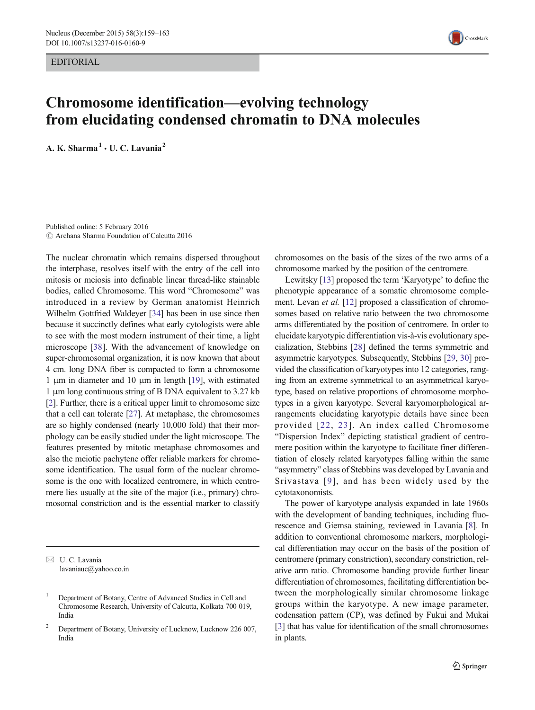EDITORIAL



# Chromosome identification—evolving technology from elucidating condensed chromatin to DNA molecules

A. K. Sharma<sup>1</sup>  $\cdot$  U. C. Lavania<sup>2</sup>

Published online: 5 February 2016  $\odot$  Archana Sharma Foundation of Calcutta 2016

The nuclear chromatin which remains dispersed throughout the interphase, resolves itself with the entry of the cell into mitosis or meiosis into definable linear thread-like stainable bodies, called Chromosome. This word "Chromosome" was introduced in a review by German anatomist Heinrich Wilhelm Gottfried Waldeyer [\[34\]](#page-4-0) has been in use since then because it succinctly defines what early cytologists were able to see with the most modern instrument of their time, a light microscope [[38](#page-4-0)]. With the advancement of knowledge on super-chromosomal organization, it is now known that about 4 cm. long DNA fiber is compacted to form a chromosome 1 μm in diameter and 10 μm in length [\[19\]](#page-4-0), with estimated 1 μm long continuous string of B DNA equivalent to 3.27 kb [\[2](#page-3-0)]. Further, there is a critical upper limit to chromosome size that a cell can tolerate [\[27](#page-4-0)]. At metaphase, the chromosomes are so highly condensed (nearly 10,000 fold) that their morphology can be easily studied under the light microscope. The features presented by mitotic metaphase chromosomes and also the meiotic pachytene offer reliable markers for chromosome identification. The usual form of the nuclear chromosome is the one with localized centromere, in which centromere lies usually at the site of the major (i.e., primary) chromosomal constriction and is the essential marker to classify

 $\boxtimes$  U. C. Lavania lavaniauc@yahoo.co.in chromosomes on the basis of the sizes of the two arms of a chromosome marked by the position of the centromere.

Lewitsky [\[13\]](#page-4-0) proposed the term 'Karyotype' to define the phenotypic appearance of a somatic chromosome comple-ment. Levan et al. [\[12](#page-4-0)] proposed a classification of chromosomes based on relative ratio between the two chromosome arms differentiated by the position of centromere. In order to elucidate karyotypic differentiation vis-à-vis evolutionary specialization, Stebbins [[28\]](#page-4-0) defined the terms symmetric and asymmetric karyotypes. Subsequently, Stebbins [\[29](#page-4-0), [30](#page-4-0)] provided the classification of karyotypes into 12 categories, ranging from an extreme symmetrical to an asymmetrical karyotype, based on relative proportions of chromosome morphotypes in a given karyotype. Several karyomorphological arrangements elucidating karyotypic details have since been provided [[22,](#page-4-0) [23](#page-4-0)]. An index called Chromosome "Dispersion Index" depicting statistical gradient of centromere position within the karyotype to facilitate finer differentiation of closely related karyotypes falling within the same "asymmetry" class of Stebbins was developed by Lavania and Srivastava [[9](#page-4-0)], and has been widely used by the cytotaxonomists.

The power of karyotype analysis expanded in late 1960s with the development of banding techniques, including fluorescence and Giemsa staining, reviewed in Lavania [[8\]](#page-4-0). In addition to conventional chromosome markers, morphological differentiation may occur on the basis of the position of centromere (primary constriction), secondary constriction, relative arm ratio. Chromosome banding provide further linear differentiation of chromosomes, facilitating differentiation between the morphologically similar chromosome linkage groups within the karyotype. A new image parameter, codensation pattern (CP), was defined by Fukui and Mukai [\[3](#page-3-0)] that has value for identification of the small chromosomes in plants.

<sup>&</sup>lt;sup>1</sup> Department of Botany, Centre of Advanced Studies in Cell and Chromosome Research, University of Calcutta, Kolkata 700 019, India

<sup>&</sup>lt;sup>2</sup> Department of Botany, University of Lucknow, Lucknow 226 007, India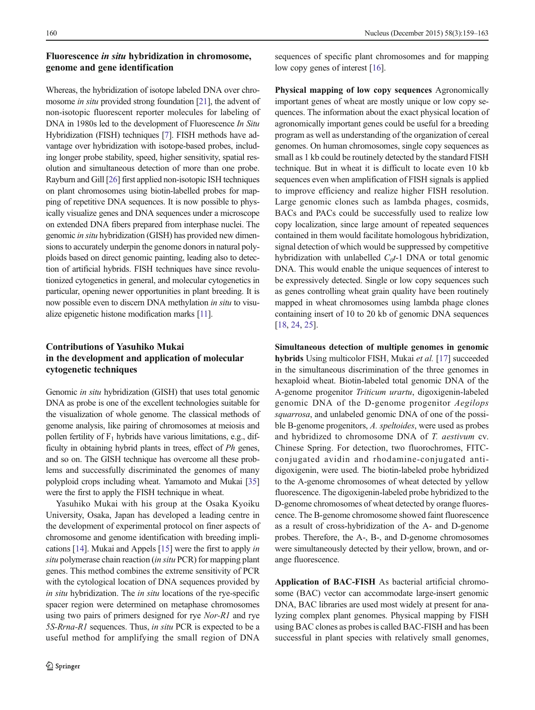## Fluorescence in situ hybridization in chromosome, genome and gene identification

Whereas, the hybridization of isotope labeled DNA over chromosome in situ provided strong foundation [\[21](#page-4-0)], the advent of non-isotopic fluorescent reporter molecules for labeling of DNA in 1980s led to the development of Fluorescence In Situ Hybridization (FISH) techniques [\[7\]](#page-4-0). FISH methods have advantage over hybridization with isotope-based probes, including longer probe stability, speed, higher sensitivity, spatial resolution and simultaneous detection of more than one probe. Rayburn and Gill [\[26\]](#page-4-0) first applied non-isotopic ISH techniques on plant chromosomes using biotin-labelled probes for mapping of repetitive DNA sequences. It is now possible to physically visualize genes and DNA sequences under a microscope on extended DNA fibers prepared from interphase nuclei. The genomic in situ hybridization (GISH) has provided new dimensions to accurately underpin the genome donors in natural polyploids based on direct genomic painting, leading also to detection of artificial hybrids. FISH techniques have since revolutionized cytogenetics in general, and molecular cytogenetics in particular, opening newer opportunities in plant breeding. It is now possible even to discern DNA methylation in situ to visualize epigenetic histone modification marks [\[11\]](#page-4-0).

## Contributions of Yasuhiko Mukai in the development and application of molecular cytogenetic techniques

Genomic in situ hybridization (GISH) that uses total genomic DNA as probe is one of the excellent technologies suitable for the visualization of whole genome. The classical methods of genome analysis, like pairing of chromosomes at meiosis and pollen fertility of  $F_1$  hybrids have various limitations, e.g., difficulty in obtaining hybrid plants in trees, effect of Ph genes, and so on. The GISH technique has overcome all these problems and successfully discriminated the genomes of many polyploid crops including wheat. Yamamoto and Mukai [\[35\]](#page-4-0) were the first to apply the FISH technique in wheat.

Yasuhiko Mukai with his group at the Osaka Kyoiku University, Osaka, Japan has developed a leading centre in the development of experimental protocol on finer aspects of chromosome and genome identification with breeding implications [[14\]](#page-4-0). Mukai and Appels [\[15\]](#page-4-0) were the first to apply in situ polymerase chain reaction (in situ PCR) for mapping plant genes. This method combines the extreme sensitivity of PCR with the cytological location of DNA sequences provided by in situ hybridization. The in situ locations of the rye-specific spacer region were determined on metaphase chromosomes using two pairs of primers designed for rye Nor-R1 and rye 5S-Rrna-R1 sequences. Thus, in situ PCR is expected to be a useful method for amplifying the small region of DNA

sequences of specific plant chromosomes and for mapping low copy genes of interest [\[16](#page-4-0)].

Physical mapping of low copy sequences Agronomically important genes of wheat are mostly unique or low copy sequences. The information about the exact physical location of agronomically important genes could be useful for a breeding program as well as understanding of the organization of cereal genomes. On human chromosomes, single copy sequences as small as 1 kb could be routinely detected by the standard FISH technique. But in wheat it is difficult to locate even 10 kb sequences even when amplification of FISH signals is applied to improve efficiency and realize higher FISH resolution. Large genomic clones such as lambda phages, cosmids, BACs and PACs could be successfully used to realize low copy localization, since large amount of repeated sequences contained in them would facilitate homologous hybridization, signal detection of which would be suppressed by competitive hybridization with unlabelled  $C_0t-1$  DNA or total genomic DNA. This would enable the unique sequences of interest to be expressively detected. Single or low copy sequences such as genes controlling wheat grain quality have been routinely mapped in wheat chromosomes using lambda phage clones containing insert of 10 to 20 kb of genomic DNA sequences [\[18](#page-4-0), [24,](#page-4-0) [25\]](#page-4-0).

Simultaneous detection of multiple genomes in genomic hybrids Using multicolor FISH, Mukai et al. [[17\]](#page-4-0) succeeded in the simultaneous discrimination of the three genomes in hexaploid wheat. Biotin-labeled total genomic DNA of the A-genome progenitor Triticum urartu, digoxigenin-labeled genomic DNA of the D-genome progenitor Aegilops squarrosa, and unlabeled genomic DNA of one of the possible B-genome progenitors, A. speltoides, were used as probes and hybridized to chromosome DNA of T. aestivum cv. Chinese Spring. For detection, two fluorochromes, FITCconjugated avidin and rhodamine-conjugated antidigoxigenin, were used. The biotin-labeled probe hybridized to the A-genome chromosomes of wheat detected by yellow fluorescence. The digoxigenin-labeled probe hybridized to the D-genome chromosomes of wheat detected by orange fluorescence. The B-genome chromosome showed faint fluorescence as a result of cross-hybridization of the A- and D-genome probes. Therefore, the A-, B-, and D-genome chromosomes were simultaneously detected by their yellow, brown, and orange fluorescence.

Application of BAC-FISH As bacterial artificial chromosome (BAC) vector can accommodate large-insert genomic DNA, BAC libraries are used most widely at present for analyzing complex plant genomes. Physical mapping by FISH using BAC clones as probes is called BAC-FISH and has been successful in plant species with relatively small genomes,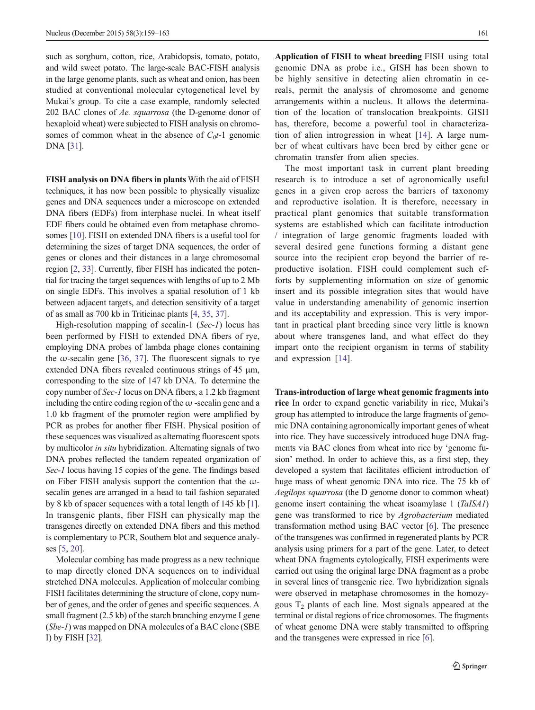such as sorghum, cotton, rice, Arabidopsis, tomato, potato, and wild sweet potato. The large-scale BAC-FISH analysis in the large genome plants, such as wheat and onion, has been studied at conventional molecular cytogenetical level by Mukai's group. To cite a case example, randomly selected 202 BAC clones of Ae. squarrosa (the D-genome donor of hexaploid wheat) were subjected to FISH analysis on chromosomes of common wheat in the absence of  $C_0t$ -1 genomic DNA [\[31\]](#page-4-0).

FISH analysis on DNA fibers in plants With the aid of FISH techniques, it has now been possible to physically visualize genes and DNA sequences under a microscope on extended DNA fibers (EDFs) from interphase nuclei. In wheat itself EDF fibers could be obtained even from metaphase chromosomes [[10\]](#page-4-0). FISH on extended DNA fibers is a useful tool for determining the sizes of target DNA sequences, the order of genes or clones and their distances in a large chromosomal region [[2,](#page-3-0) [33](#page-4-0)]. Currently, fiber FISH has indicated the potential for tracing the target sequences with lengths of up to 2 Mb on single EDFs. This involves a spatial resolution of 1 kb between adjacent targets, and detection sensitivity of a target of as small as 700 kb in Triticinae plants [\[4,](#page-3-0) [35,](#page-4-0) [37\]](#page-4-0).

High-resolution mapping of secalin-1 (Sec-1) locus has been performed by FISH to extended DNA fibers of rye, employing DNA probes of lambda phage clones containing the  $\omega$ -secalin gene [\[36,](#page-4-0) [37\]](#page-4-0). The fluorescent signals to rye extended DNA fibers revealed continuous strings of 45 μm, corresponding to the size of 147 kb DNA. To determine the copy number of Sec-1 locus on DNA fibers, a 1.2 kb fragment including the entire coding region of the  $\omega$ -secalin gene and a 1.0 kb fragment of the promoter region were amplified by PCR as probes for another fiber FISH. Physical position of these sequences was visualized as alternating fluorescent spots by multicolor in situ hybridization. Alternating signals of two DNA probes reflected the tandem repeated organization of Sec-1 locus having 15 copies of the gene. The findings based on Fiber FISH analysis support the contention that the  $\omega$ secalin genes are arranged in a head to tail fashion separated by 8 kb of spacer sequences with a total length of 145 kb [[1\]](#page-3-0). In transgenic plants, fiber FISH can physically map the transgenes directly on extended DNA fibers and this method is complementary to PCR, Southern blot and sequence analyses [[5](#page-4-0), [20](#page-4-0)].

Molecular combing has made progress as a new technique to map directly cloned DNA sequences on to individual stretched DNA molecules. Application of molecular combing FISH facilitates determining the structure of clone, copy number of genes, and the order of genes and specific sequences. A small fragment (2.5 kb) of the starch branching enzyme I gene (Sbe-1) was mapped on DNA molecules of a BAC clone (SBE I) by FISH [\[32](#page-4-0)].

Application of FISH to wheat breeding FISH using total genomic DNA as probe i.e., GISH has been shown to be highly sensitive in detecting alien chromatin in cereals, permit the analysis of chromosome and genome arrangements within a nucleus. It allows the determination of the location of translocation breakpoints. GISH has, therefore, become a powerful tool in characterization of alien introgression in wheat [[14\]](#page-4-0). A large number of wheat cultivars have been bred by either gene or chromatin transfer from alien species.

The most important task in current plant breeding research is to introduce a set of agronomically useful genes in a given crop across the barriers of taxonomy and reproductive isolation. It is therefore, necessary in practical plant genomics that suitable transformation systems are established which can facilitate introduction / integration of large genomic fragments loaded with several desired gene functions forming a distant gene source into the recipient crop beyond the barrier of reproductive isolation. FISH could complement such efforts by supplementing information on size of genomic insert and its possible integration sites that would have value in understanding amenability of genomic insertion and its acceptability and expression. This is very important in practical plant breeding since very little is known about where transgenes land, and what effect do they impart onto the recipient organism in terms of stability and expression [\[14\]](#page-4-0).

Trans-introduction of large wheat genomic fragments into

rice In order to expand genetic variability in rice, Mukai's group has attempted to introduce the large fragments of genomic DNA containing agronomically important genes of wheat into rice. They have successively introduced huge DNA fragments via BAC clones from wheat into rice by 'genome fusion' method. In order to achieve this, as a first step, they developed a system that facilitates efficient introduction of huge mass of wheat genomic DNA into rice. The 75 kb of Aegilops squarrosa (the D genome donor to common wheat) genome insert containing the wheat isoamylase 1 (TaISA1) gene was transformed to rice by Agrobacterium mediated transformation method using BAC vector [[6\]](#page-4-0). The presence of the transgenes was confirmed in regenerated plants by PCR analysis using primers for a part of the gene. Later, to detect wheat DNA fragments cytologically, FISH experiments were carried out using the original large DNA fragment as a probe in several lines of transgenic rice. Two hybridization signals were observed in metaphase chromosomes in the homozygous  $T_2$  plants of each line. Most signals appeared at the terminal or distal regions of rice chromosomes. The fragments of wheat genome DNA were stably transmitted to offspring and the transgenes were expressed in rice [\[6](#page-4-0)].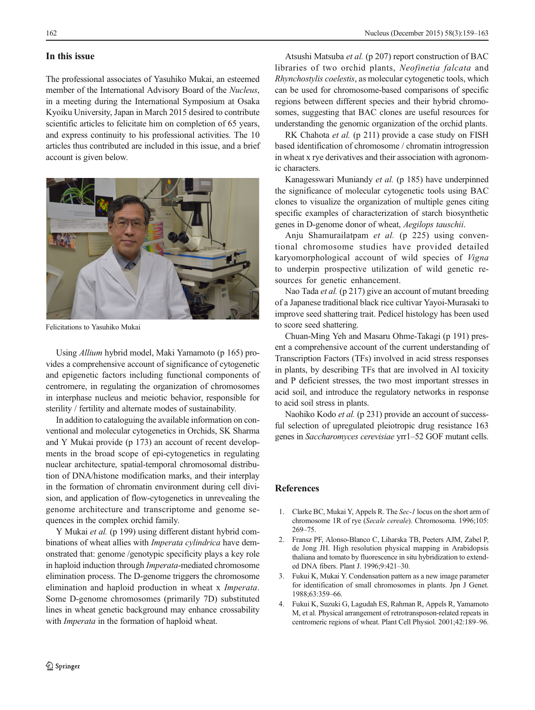### <span id="page-3-0"></span>In this issue

The professional associates of Yasuhiko Mukai, an esteemed member of the International Advisory Board of the Nucleus, in a meeting during the International Symposium at Osaka Kyoiku University, Japan in March 2015 desired to contribute scientific articles to felicitate him on completion of 65 years, and express continuity to his professional activities. The 10 articles thus contributed are included in this issue, and a brief account is given below.



Felicitations to Yasuhiko Mukai

Using Allium hybrid model, Maki Yamamoto (p 165) provides a comprehensive account of significance of cytogenetic and epigenetic factors including functional components of centromere, in regulating the organization of chromosomes in interphase nucleus and meiotic behavior, responsible for sterility / fertility and alternate modes of sustainability.

In addition to cataloguing the available information on conventional and molecular cytogenetics in Orchids, SK Sharma and Y Mukai provide (p 173) an account of recent developments in the broad scope of epi-cytogenetics in regulating nuclear architecture, spatial-temporal chromosomal distribution of DNA/histone modification marks, and their interplay in the formation of chromatin environment during cell division, and application of flow-cytogenetics in unrevealing the genome architecture and transcriptome and genome sequences in the complex orchid family.

Y Mukai et al. (p 199) using different distant hybrid combinations of wheat allies with *Imperata cylindrica* have demonstrated that: genome /genotypic specificity plays a key role in haploid induction through *Imperata*-mediated chromosome elimination process. The D-genome triggers the chromosome elimination and haploid production in wheat x Imperata. Some D-genome chromosomes (primarily 7D) substituted lines in wheat genetic background may enhance crossability with *Imperata* in the formation of haploid wheat.

Atsushi Matsuba et al. (p 207) report construction of BAC libraries of two orchid plants, Neofinetia falcata and Rhynchostylis coelestis, as molecular cytogenetic tools, which can be used for chromosome-based comparisons of specific regions between different species and their hybrid chromosomes, suggesting that BAC clones are useful resources for understanding the genomic organization of the orchid plants.

RK Chahota et al. (p 211) provide a case study on FISH based identification of chromosome / chromatin introgression in wheat x rye derivatives and their association with agronomic characters.

Kanagesswari Muniandy et al. (p 185) have underpinned the significance of molecular cytogenetic tools using BAC clones to visualize the organization of multiple genes citing specific examples of characterization of starch biosynthetic genes in D-genome donor of wheat, Aegilops tauschii.

Anju Shamurailatpam et al. (p 225) using conventional chromosome studies have provided detailed karyomorphological account of wild species of Vigna to underpin prospective utilization of wild genetic resources for genetic enhancement.

Nao Tada et al. (p 217) give an account of mutant breeding of a Japanese traditional black rice cultivar Yayoi-Murasaki to improve seed shattering trait. Pedicel histology has been used to score seed shattering.

Chuan-Ming Yeh and Masaru Ohme-Takagi (p 191) present a comprehensive account of the current understanding of Transcription Factors (TFs) involved in acid stress responses in plants, by describing TFs that are involved in Al toxicity and P deficient stresses, the two most important stresses in acid soil, and introduce the regulatory networks in response to acid soil stress in plants.

Naohiko Kodo et al. (p 231) provide an account of successful selection of upregulated pleiotropic drug resistance 163 genes in Saccharomyces cerevisiae yrr1–52 GOF mutant cells.

#### References

- 1. Clarke BC, Mukai Y, Appels R. The Sec-1 locus on the short arm of chromosome 1R of rye (Secale cereale). Chromosoma. 1996;105: 269–75.
- 2. Fransz PF, Alonso-Blanco C, Liharska TB, Peeters AJM, Zabel P, de Jong JH. High resolution physical mapping in Arabidopsis thaliana and tomato by fluorescence in situ hybridization to extended DNA fibers. Plant J. 1996;9:421–30.
- 3. Fukui K, Mukai Y. Condensation pattern as a new image parameter for identification of small chromosomes in plants. Jpn J Genet. 1988;63:359–66.
- 4. Fukui K, Suzuki G, Lagudah ES, Rahman R, Appels R, Yamamoto M, et al. Physical arrangement of retrotransposon-related repeats in centromeric regions of wheat. Plant Cell Physiol. 2001;42:189–96.